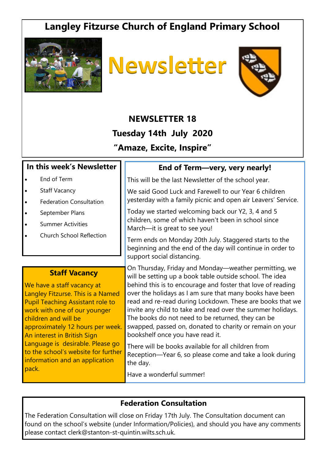# **Langley Fitzurse Church of England Primary School**







# **NEWSLETTER 18 Tuesday 14th July 2020 "Amaze, Excite, Inspire"**

#### **In this week's Newsletter**

- End of Term
- Staff Vacancy
- Federation Consultation
- September Plans
- Summer Activities
- Church School Reflection

#### **Staff Vacancy**

We have a staff vacancy at Langley Fitzurse. This is a Named Pupil Teaching Assistant role to work with one of our younger children and will be approximately 12 hours per week. An interest in British Sign Language is desirable. Please go to the school's website for further information and an application pack.

## **End of Term—very, very nearly!**

This will be the last Newsletter of the school year.

We said Good Luck and Farewell to our Year 6 children yesterday with a family picnic and open air Leavers' Service.

Today we started welcoming back our Y2, 3, 4 and 5 children, some of which haven't been in school since March—it is great to see you!

Term ends on Monday 20th July. Staggered starts to the beginning and the end of the day will continue in order to support social distancing.

On Thursday, Friday and Monday—weather permitting, we will be setting up a book table outside school. The idea behind this is to encourage and foster that love of reading over the holidays as I am sure that many books have been read and re-read during Lockdown. These are books that we invite any child to take and read over the summer holidays. The books do not need to be returned, they can be swapped, passed on, donated to charity or remain on your bookshelf once you have read it.

There will be books available for all children from Reception—Year 6, so please come and take a look during the day.

Have a wonderful summer!

## **Federation Consultation**

The Federation Consultation will close on Friday 17th July. The Consultation document can found on the school's website (under Information/Policies), and should you have any comments please contact clerk@stanton-st-quintin.wilts.sch.uk.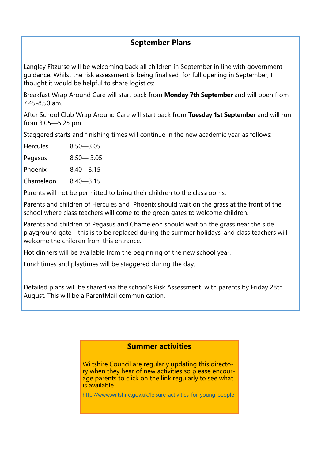## **September Plans**

Langley Fitzurse will be welcoming back all children in September in line with government guidance. Whilst the risk assessment is being finalised for full opening in September, I thought it would be helpful to share logistics:

Breakfast Wrap Around Care will start back from **Monday 7th September** and will open from 7.45-8.50 am.

After School Club Wrap Around Care will start back from **Tuesday 1st September** and will run from 3.05—5.25 pm

Staggered starts and finishing times will continue in the new academic year as follows:

| <b>Hercules</b> | $8.50 - 3.05$ |
|-----------------|---------------|
| Pegasus         | $8.50 - 3.05$ |
| Phoenix         | $8.40 - 3.15$ |
| Chameleon       | $8.40 - 3.15$ |

Parents will not be permitted to bring their children to the classrooms.

Parents and children of Hercules and Phoenix should wait on the grass at the front of the school where class teachers will come to the green gates to welcome children.

Parents and children of Pegasus and Chameleon should wait on the grass near the side playground gate—this is to be replaced during the summer holidays, and class teachers will welcome the children from this entrance.

Hot dinners will be available from the beginning of the new school year.

Lunchtimes and playtimes will be staggered during the day.

Detailed plans will be shared via the school's Risk Assessment with parents by Friday 28th August. This will be a ParentMail communication.

### **Summer activities**

Wiltshire Council are regularly updating this directory when they hear of new activities so please encourage parents to click on the link regularly to see what is available

[http://www.wiltshire.gov.uk/leisure](http://www.wiltshire.gov.uk/leisure-activities-for-young-people)-activities-for-young-people